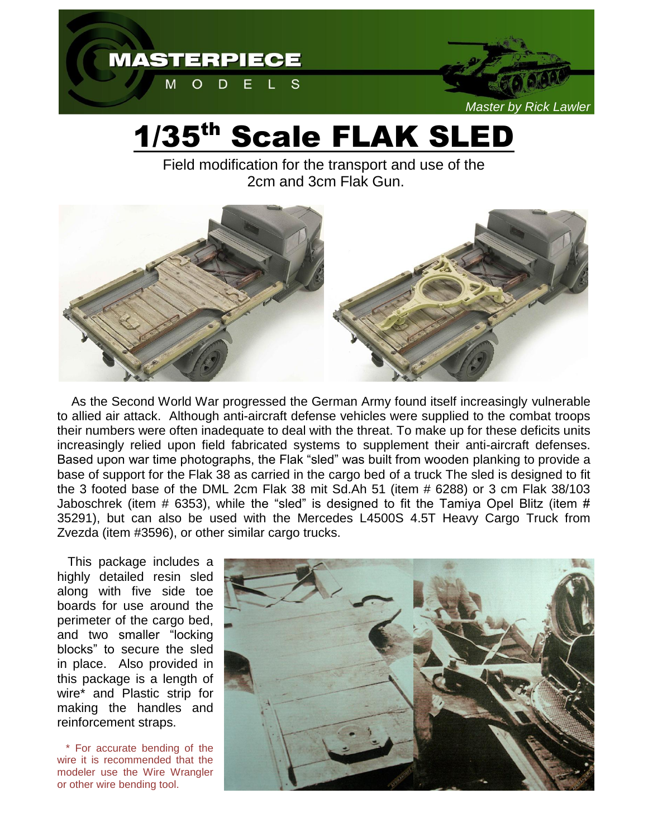

## 1/35th Scale FLAK SLED

Field modification for the transport and use of the 2cm and 3cm Flak Gun.



 As the Second World War progressed the German Army found itself increasingly vulnerable to allied air attack. Although anti-aircraft defense vehicles were supplied to the combat troops their numbers were often inadequate to deal with the threat. To make up for these deficits units increasingly relied upon field fabricated systems to supplement their anti-aircraft defenses. Based upon war time photographs, the Flak "sled" was built from wooden planking to provide a base of support for the Flak 38 as carried in the cargo bed of a truck The sled is designed to fit the 3 footed base of the DML 2cm Flak 38 mit Sd.Ah 51 (item # 6288) or 3 cm Flak 38/103 Jaboschrek (item # 6353), while the "sled" is designed to fit the Tamiya Opel Blitz (item # 35291), but can also be used with the Mercedes L4500S 4.5T Heavy Cargo Truck from Zvezda (item #3596), or other similar cargo trucks.

 This package includes a highly detailed resin sled along with five side toe boards for use around the perimeter of the cargo bed, and two smaller "locking blocks" to secure the sled in place. Also provided in this package is a length of wire\* and Plastic strip for making the handles and reinforcement straps.

 \* For accurate bending of the wire it is recommended that the modeler use the Wire Wrangler or other wire bending tool.